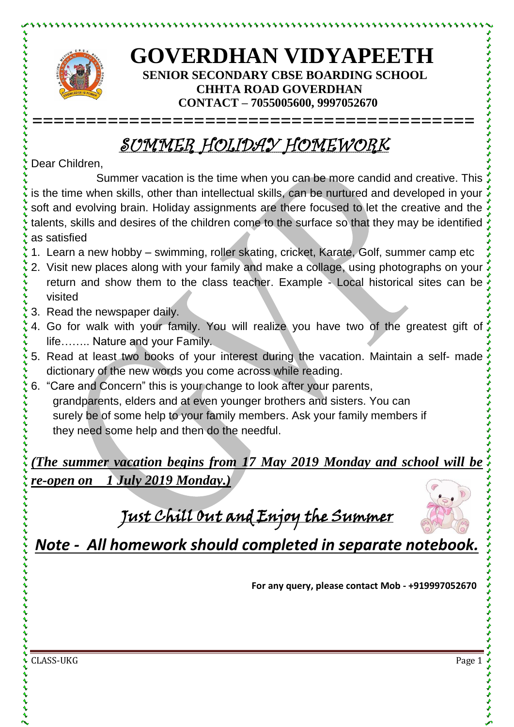

とけけいけいけいけい

## **GOVERDHAN VIDYAPEETH SENIOR SECONDARY CBSE BOARDING SCHOOL CHHTA ROAD GOVERDHAN CONTACT – 7055005600, 9997052670**

## SUMMER HOLIDAY HOMEWORK

**=========================================**

Dear Children,

Summer vacation is the time when you can be more candid and creative. This is the time when skills, other than intellectual skills, can be nurtured and developed in your soft and evolving brain. Holiday assignments are there focused to let the creative and the talents, skills and desires of the children come to the surface so that they may be identified as satisfied

- 1. Learn a new hobby swimming, roller skating, cricket, Karate, Golf, summer camp etc
- 2. Visit new places along with your family and make a collage, using photographs on your return and show them to the class teacher. Example - Local historical sites can be visited
- 3. Read the newspaper daily.
- 4. Go for walk with your family. You will realize you have two of the greatest gift of life…….. Nature and your Family.
- 5. Read at least two books of your interest during the vacation. Maintain a self- made dictionary of the new words you come across while reading.
- 6. "Care and Concern" this is your change to look after your parents, grandparents, elders and at even younger brothers and sisters. You can surely be of some help to your family members. Ask your family members if they need some help and then do the needful.

*(The summer vacation begins from 17 May 2019 Monday and school will be re-open on 1 July 2019 Monday.)*

Just Chill Out and Enjoy the Summer



*Note - All homework should completed in separate notebook.*

**For any query, please contact Mob - +919997052670**

CLASS-UKG Page 1